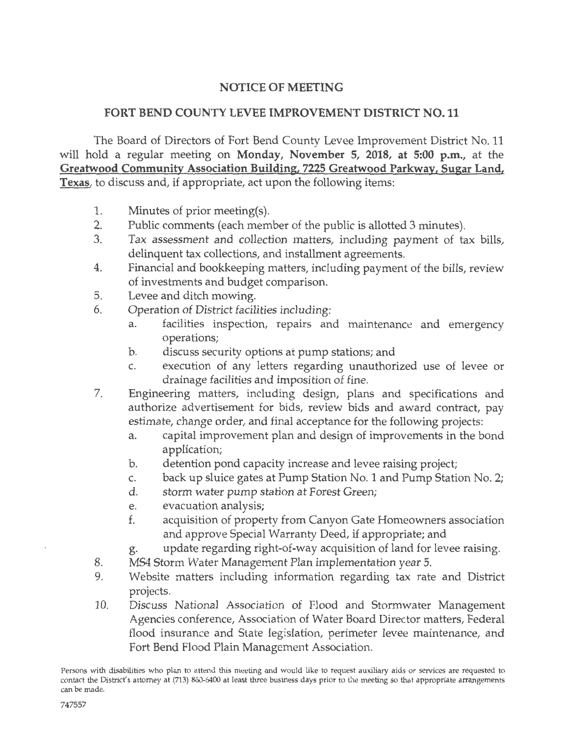## NOTICE OF MEETING

## FORT BEND COUNTY LEVEE IMPROVEMENT DISTRICT NO. 11

The Board of Directors of Fort Bend County Levee Improvement District No. 11 will hold a regular meeting on Monday, November 5, 2018, at 5:00 p.m., at the Greatwood Community Association Building, 7225 Greatwood Parkway, Sugar Land, Texas, to discuss and, if appropriate, act upon the following items:

- 1. Minutes of prior meeting(s).
- 2. Public comments (each member of the public is allotted 3 minutes).
- 3. Tax assessment and collection matters, including payment of tax bills, delinquent tax collections, and installment agreements.
- 4. Financial and bookkeeping matters, including payment of the bills, review of investments and budget comparison.
- 5. Levee and ditch mowing.
- 6. Operation of District facilities including:
	- a. facilities inspection, repairs and maintenance and emergency operations;
	- b. discuss security options at pump stations; and
	- c. execution of any letters regarding unauthorized use of levee or drainage facilities and imposition of fine.
- 7. Engineering matters, including design, plans and specifications and authorize advertisement for bids, review bids and award contract, pay estimate, change order, and final acceptance for the following projects:
	- a. capital improvement plan and design of improvements in the bond application;
	- b. detention pond capacity increase and levee raising project;
	- c. back up sluice gates at Pump Station No. 1 and Pump Station No. 2;
	- d. storm water pump station at Forest Green;
	- e. evacuation analysis;
	- f. acquisition of property from Canyon Gate Homeowners association and approve Special Warranty Deed, if appropriate; and
	- g. update regarding right-of-way acquisition of land for levee raising.
- 8. MS4 Storm Water Management Plan implementation year 5.
- 9. Website matters including information regarding tax rate and District projects.
- 10. Discuss National Association of Flood and Stormwater Management Agencies conference, Association of Water Board Director matters, Federal flood insurance and State legislation, perimeter levee maintenance, and Fort Bend Flood Plain Management Association.

Persons with disabilities who plan to attend this meeting and would like to request auxiliary aids or services are requested to contact the District's attorney at (713) 860-6400 at least three business days prior to the meeting so that appropriate arrangements can be made.